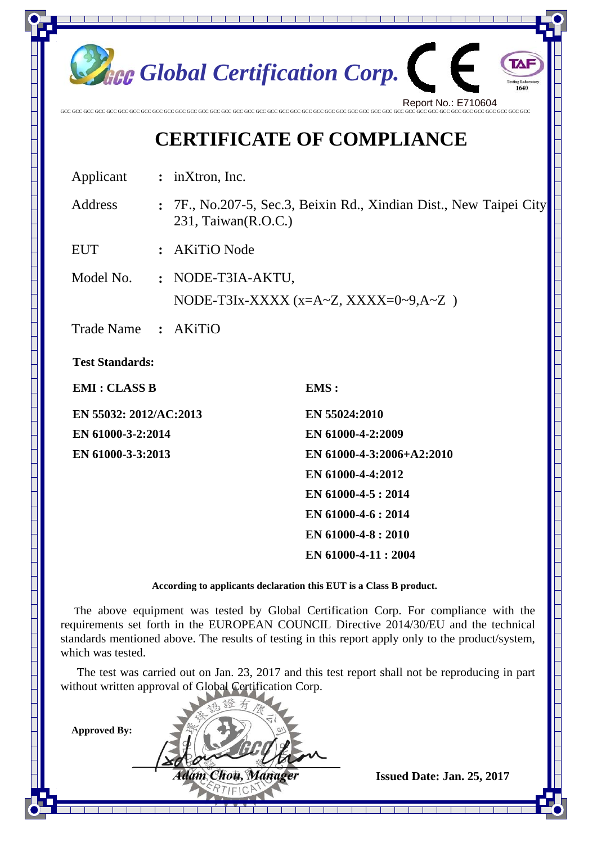

## **CERTIFICATE OF COMPLIANCE**

Applicant **:** inXtron, Inc.

Address **:** 7F., No.207-5, Sec.3, Beixin Rd., Xindian Dist., New Taipei City 231, Taiwan(R.O.C.)

EUT **:** AKiTiO Node

Model No. **:** NODE-T3IA-AKTU, NODE-T3Ix-XXXX (x=A~Z, XXXX=0~9,A~Z)

Trade Name **:** AKiTiO

**Test Standards:** 

**EMI : CLASS B** EMS :

**EN 55032: 2012/AC:2013 EN 55024:2010 EN 61000-3-2:2014 EN 61000-4-2:2009** 

**EN 61000-3-3:2013 EN 61000-4-3:2006+A2:2010 EN 61000-4-4:2012 EN 61000-4-5 : 2014 EN 61000-4-6 : 2014 EN 61000-4-8 : 2010 EN 61000-4-11 : 2004** 

**According to applicants declaration this EUT is a Class B product.** 

The above equipment was tested by Global Certification Corp. For compliance with the requirements set forth in the EUROPEAN COUNCIL Directive 2014/30/EU and the technical standards mentioned above. The results of testing in this report apply only to the product/system, which was tested.

The test was carried out on Jan. 23, 2017 and this test report shall not be reproducing in part without written approval of Global Certification Corp.

PTIFIC

**Approved By:** 

*dám Chou, Manuger* **Issued Date: Jan. 25, 2017**